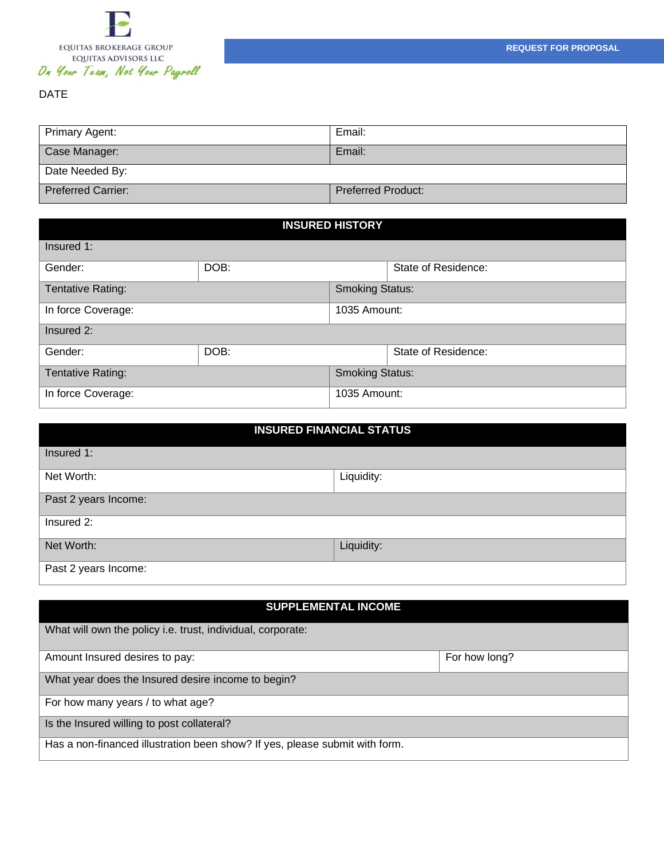

## DATE

| Primary Agent:            | Email:                    |  |  |
|---------------------------|---------------------------|--|--|
| Case Manager:             | Email:                    |  |  |
| Date Needed By:           |                           |  |  |
| <b>Preferred Carrier:</b> | <b>Preferred Product:</b> |  |  |

| <b>INSURED HISTORY</b>   |                        |              |                     |  |
|--------------------------|------------------------|--------------|---------------------|--|
| Insured 1:               |                        |              |                     |  |
| Gender:                  | DOB:                   |              | State of Residence: |  |
| <b>Tentative Rating:</b> | <b>Smoking Status:</b> |              |                     |  |
| In force Coverage:       | 1035 Amount:           |              |                     |  |
| Insured 2:               |                        |              |                     |  |
| Gender:                  | DOB:                   |              | State of Residence: |  |
| <b>Tentative Rating:</b> | <b>Smoking Status:</b> |              |                     |  |
| In force Coverage:       |                        | 1035 Amount: |                     |  |

| <b>INSURED FINANCIAL STATUS</b> |            |  |
|---------------------------------|------------|--|
| Insured 1:                      |            |  |
| Net Worth:                      | Liquidity: |  |
| Past 2 years Income:            |            |  |
| Insured 2:                      |            |  |
| Net Worth:                      | Liquidity: |  |
| Past 2 years Income:            |            |  |

| <b>SUPPLEMENTAL INCOME</b>                                                  |               |  |  |
|-----------------------------------------------------------------------------|---------------|--|--|
| What will own the policy i.e. trust, individual, corporate:                 |               |  |  |
| Amount Insured desires to pay:                                              | For how long? |  |  |
| What year does the Insured desire income to begin?                          |               |  |  |
| For how many years / to what age?                                           |               |  |  |
| Is the Insured willing to post collateral?                                  |               |  |  |
| Has a non-financed illustration been show? If yes, please submit with form. |               |  |  |